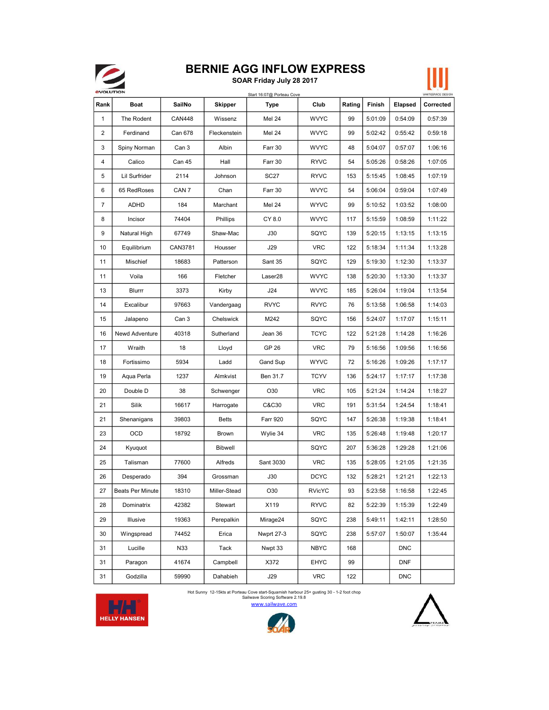

## BERNIE AGG INFLOW EXPRESS

SOAR Friday July 28 2017



| <b><i><u>EVOLUTION</u></i></b> |                         |                  |                | Start 16:07@ Porteau Cove |               |        |         |            | WHITESPACE DESIGN |
|--------------------------------|-------------------------|------------------|----------------|---------------------------|---------------|--------|---------|------------|-------------------|
| Rank                           | Boat                    | SailNo           | <b>Skipper</b> | Type                      | Club          | Rating | Finish  | Elapsed    | Corrected         |
| 1                              | The Rodent              | <b>CAN448</b>    | Wissenz        | <b>Mel 24</b>             | <b>WVYC</b>   | 99     | 5:01:09 | 0:54:09    | 0:57:39           |
| 2                              | Ferdinand               | Can 678          | Fleckenstein   | <b>Mel 24</b>             | <b>WVYC</b>   | 99     | 5:02:42 | 0:55:42    | 0:59:18           |
| 3                              | Spiny Norman            | Can 3            | Albin          | Farr 30                   | <b>WVYC</b>   | 48     | 5:04:07 | 0:57:07    | 1:06:16           |
| 4                              | Calico                  | Can 45           | Hall           | Farr 30                   | RYVC          | 54     | 5:05:26 | 0:58:26    | 1:07:05           |
| 5                              | Lil Surfrider           | 2114             | Johnson        | SC <sub>27</sub>          | <b>RYVC</b>   | 153    | 5:15:45 | 1:08:45    | 1:07:19           |
| 6                              | 65 RedRoses             | CAN <sub>7</sub> | Chan           | Farr 30                   | <b>WVYC</b>   | 54     | 5:06:04 | 0:59:04    | 1:07:49           |
| $\overline{7}$                 | ADHD                    | 184              | Marchant       | <b>Mel 24</b>             | <b>WYVC</b>   | 99     | 5:10:52 | 1:03:52    | 1:08:00           |
| 8                              | Incisor                 | 74404            | Phillips       | CY 8.0                    | <b>WVYC</b>   | 117    | 5:15:59 | 1:08:59    | 1:11:22           |
| 9                              | Natural High            | 67749            | Shaw-Mac       | J30                       | SQYC          | 139    | 5:20:15 | 1:13:15    | 1:13:15           |
| 10                             | Equilibrium             | CAN3781          | Housser        | J29                       | <b>VRC</b>    | 122    | 5:18:34 | 1:11:34    | 1:13:28           |
| 11                             | Mischief                | 18683            | Patterson      | Sant 35                   | SQYC          | 129    | 5:19:30 | 1:12:30    | 1:13:37           |
| 11                             | Voila                   | 166              | Fletcher       | Laser28                   | <b>WVYC</b>   | 138    | 5:20:30 | 1:13:30    | 1:13:37           |
| 13                             | Blurrr                  | 3373             | Kirby          | J24                       | <b>WVYC</b>   | 185    | 5:26:04 | 1:19:04    | 1:13:54           |
| 14                             | Excalibur               | 97663            | Vandergaag     | <b>RVYC</b>               | <b>RVYC</b>   | 76     | 5:13:58 | 1:06:58    | 1:14:03           |
| 15                             | Jalapeno                | Can 3            | Chelswick      | M242                      | SQYC          | 156    | 5:24:07 | 1:17:07    | 1:15:11           |
| 16                             | Newd Adventure          | 40318            | Sutherland     | Jean 36                   | <b>TCYC</b>   | 122    | 5:21:28 | 1:14:28    | 1:16:26           |
| 17                             | Wraith                  | 18               | Lloyd          | GP 26                     | <b>VRC</b>    | 79     | 5:16:56 | 1:09:56    | 1:16:56           |
| 18                             | Fortissimo              | 5934             | Ladd           | Gand Sup                  | WYVC          | 72     | 5:16:26 | 1:09:26    | 1:17:17           |
| 19                             | Aqua Perla              | 1237             | Almkvist       | Ben 31.7                  | <b>TCYV</b>   | 136    | 5:24:17 | 1:17:17    | 1:17:38           |
| 20                             | Double D                | 38               | Schwenger      | O30                       | <b>VRC</b>    | 105    | 5:21:24 | 1:14:24    | 1:18:27           |
| 21                             | Silik                   | 16617            | Harrogate      | C&C30                     | <b>VRC</b>    | 191    | 5:31:54 | 1:24:54    | 1:18:41           |
| 21                             | Shenanigans             | 39803            | <b>Betts</b>   | <b>Farr 920</b>           | SQYC          | 147    | 5:26:38 | 1:19:38    | 1:18:41           |
| 23                             | OCD                     | 18792            | Brown          | Wylie 34                  | <b>VRC</b>    | 135    | 5:26:48 | 1:19:48    | 1:20:17           |
| 24                             | Kyuquot                 |                  | <b>Bibwell</b> |                           | SQYC          | 207    | 5:36:28 | 1:29:28    | 1:21:06           |
| 25                             | Talisman                | 77600            | Alfreds        | Sant 3030                 | <b>VRC</b>    | 135    | 5:28:05 | 1:21:05    | 1:21:35           |
| 26                             | Desperado               | 394              | Grossman       | J30                       | <b>DCYC</b>   | 132    | 5:28:21 | 1:21:21    | 1:22:13           |
| 27                             | <b>Beats Per Minute</b> | 18310            | Miller-Stead   | O30                       | <b>RVicYC</b> | 93     | 5:23:58 | 1:16:58    | 1:22:45           |
| 28                             | Dominatrix              | 42382            | Stewart        | X119                      | <b>RYVC</b>   | 82     | 5:22:39 | 1:15:39    | 1:22:49           |
| 29                             | Illusive                | 19363            | Perepalkin     | Mirage24                  | SQYC          | 238    | 5:49:11 | 1:42:11    | 1:28:50           |
| 30                             | Wingspread              | 74452            | Erica          | Nwprt 27-3                | SQYC          | 238    | 5:57:07 | 1:50:07    | 1:35:44           |
| 31                             | Lucille                 | N33              | Tack           | Nwpt 33                   | <b>NBYC</b>   | 168    |         | <b>DNC</b> |                   |
| 31                             | Paragon                 | 41674            | Campbell       | X372                      | <b>EHYC</b>   | 99     |         | <b>DNF</b> |                   |
| 31                             | Godzilla                | 59990            | Dahabieh       | J29                       | <b>VRC</b>    | 122    |         | <b>DNC</b> |                   |

Sailwave Scoring Software 2.19.8<br>WWW.Sailwave.com Hot Sunny 12-15kts at Porteau Cove start-Squamish harbour 25+ gusting 30 - 1-2 foot chop





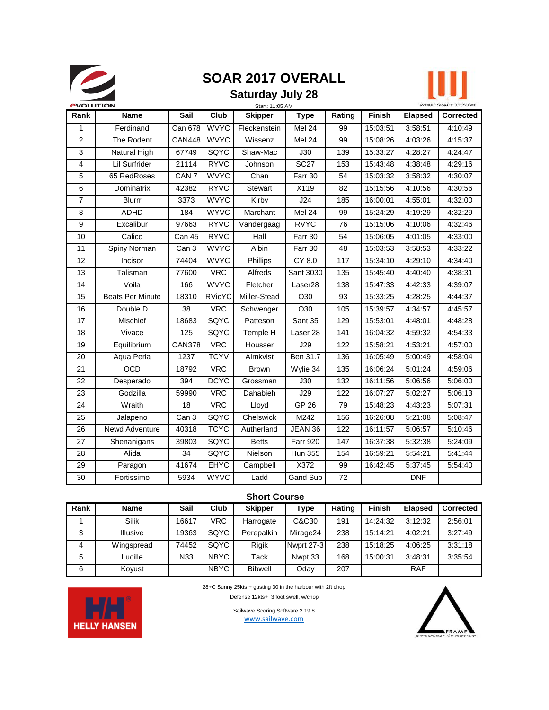

## **SOAR 2017 OVERALL**

### **Saturday July 28**



| <b><i><u>EVOLUTION</u></i></b> |                         |                  |               | Start: 11:05 AM |                     |                 |               |                | WHITESPACE DESIGN |
|--------------------------------|-------------------------|------------------|---------------|-----------------|---------------------|-----------------|---------------|----------------|-------------------|
| Rank                           | <b>Name</b>             | Sail             | Club          | <b>Skipper</b>  | <b>Type</b>         | Rating          | <b>Finish</b> | <b>Elapsed</b> | <b>Corrected</b>  |
| 1                              | Ferdinand               | Can 678          | <b>WVYC</b>   | Fleckenstein    | Mel 24              | 99              | 15:03:51      | 3:58:51        | 4:10:49           |
| $\overline{2}$                 | The Rodent              | <b>CAN448</b>    | <b>WVYC</b>   | Wissenz         | Mel 24              | 99              | 15:08:26      | 4:03:26        | 4:15:37           |
| 3                              | Natural High            | 67749            | SQYC          | Shaw-Mac        | J30                 | 139             | 15:33:27      | 4:28:27        | 4:24:47           |
| $\overline{4}$                 | Lil Surfrider           | 21114            | <b>RYVC</b>   | Johnson         | <b>SC27</b>         | 153             | 15:43:48      | 4:38:48        | 4:29:16           |
| 5                              | 65 RedRoses             | CAN <sub>7</sub> | <b>WVYC</b>   | Chan            | Farr 30             | 54              | 15:03:32      | 3:58:32        | 4:30:07           |
| 6                              | Dominatrix              | 42382            | <b>RYVC</b>   | <b>Stewart</b>  | X119                | 82              | 15:15:56      | 4:10:56        | 4:30:56           |
| $\overline{7}$                 | Blurrr                  | 3373             | <b>WVYC</b>   | Kirby           | J24                 | 185             | 16:00:01      | 4:55:01        | 4:32:00           |
| 8                              | <b>ADHD</b>             | 184              | <b>WYVC</b>   | Marchant        | Mel 24              | 99              | 15:24:29      | 4:19:29        | 4:32:29           |
| $\boldsymbol{9}$               | Excalibur               | 97663            | <b>RYVC</b>   | Vandergaag      | <b>RVYC</b>         | 76              | 15:15:06      | 4:10:06        | 4:32:46           |
| 10                             | Calico                  | Can 45           | <b>RYVC</b>   | Hall            | Farr 30             | 54              | 15:06:05      | 4:01:05        | 4:33:00           |
| 11                             | Spiny Norman            | Can 3            | <b>WVYC</b>   | Albin           | Farr 30             | 48              | 15:03:53      | 3:58:53        | 4:33:22           |
| $\overline{12}$                | Incisor                 | 74404            | <b>WVYC</b>   | Phillips        | <b>CY 8.0</b>       | 117             | 15:34:10      | 4:29:10        | 4:34:40           |
| 13                             | Talisman                | 77600            | <b>VRC</b>    | Alfreds         | Sant 3030           | 135             | 15:45:40      | 4:40:40        | 4:38:31           |
| 14                             | Voila                   | 166              | <b>WVYC</b>   | Fletcher        | Laser <sub>28</sub> | 138             | 15:47:33      | 4:42:33        | 4:39:07           |
| 15                             | <b>Beats Per Minute</b> | 18310            | <b>RVicYC</b> | Miller-Stead    | O30                 | 93              | 15:33:25      | 4:28:25        | 4:44:37           |
| 16                             | Double D                | 38               | <b>VRC</b>    | Schwenger       | O30                 | 105             | 15:39:57      | 4:34:57        | 4:45:57           |
| 17                             | Mischief                | 18683            | SQYC          | Patteson        | Sant 35             | 129             | 15:53:01      | 4:48:01        | 4:48:28           |
| 18                             | Vivace                  | 125              | SQYC          | Temple H        | Laser <sub>28</sub> | 141             | 16:04:32      | 4:59:32        | 4:54:33           |
| 19                             | Equilibrium             | <b>CAN378</b>    | <b>VRC</b>    | Housser         | J29                 | 122             | 15:58:21      | 4:53:21        | 4:57:00           |
| 20                             | Aqua Perla              | 1237             | <b>TCYV</b>   | Almkvist        | Ben 31.7            | 136             | 16:05:49      | 5:00:49        | 4:58:04           |
| 21                             | <b>OCD</b>              | 18792            | <b>VRC</b>    | Brown           | Wylie 34            | 135             | 16:06:24      | 5:01:24        | 4:59:06           |
| 22                             | Desperado               | 394              | <b>DCYC</b>   | Grossman        | J30                 | 132             | 16:11:56      | 5:06:56        | 5:06:00           |
| $\overline{23}$                | Godzilla                | 59990            | <b>VRC</b>    | Dahabieh        | J29                 | 122             | 16:07:27      | 5:02:27        | 5:06:13           |
| $\overline{24}$                | Wraith                  | 18               | <b>VRC</b>    | Lloyd           | $GP$ 26             | 79              | 15:48:23      | 4:43:23        | 5:07:31           |
| $\overline{25}$                | Jalapeno                | Can <sub>3</sub> | <b>SQYC</b>   | Chelswick       | M242                | 156             | 16:26:08      | 5:21:08        | 5:08:47           |
| 26                             | Newd Adventure          | 40318            | <b>TCYC</b>   | Autherland      | JEAN 36             | 122             | 16:11:57      | 5:06:57        | 5:10:46           |
| 27                             | Shenanigans             | 39803            | SQYC          | <b>Betts</b>    | <b>Farr 920</b>     | 147             | 16:37:38      | 5:32:38        | 5:24:09           |
| 28                             | Alida                   | 34               | SQYC          | Nielson         | <b>Hun 355</b>      | 154             | 16:59:21      | 5:54:21        | 5:41:44           |
| 29                             | Paragon                 | 41674            | <b>EHYC</b>   | Campbell        | X372                | 99              | 16:42:45      | 5:37:45        | 5:54:40           |
| $\overline{30}$                | Fortissimo              | 5934             | <b>WYVC</b>   | Ladd            | <b>Gand Sup</b>     | $\overline{72}$ |               | DNF            |                   |

### **Short Course**

| Rank | <b>Name</b> | Sail  | Club        | <b>Skipper</b> | Type       | Rating | <b>Finish</b> | <b>Elapsed</b> | <b>Corrected</b> |
|------|-------------|-------|-------------|----------------|------------|--------|---------------|----------------|------------------|
|      | Silik       | 16617 | VRC         | Harrogate      | C&C30      | 191    | 14:24:32      | 3:12:32        | 2:56:01          |
| 3    | Illusive    | 19363 | SQYC        | Perepalkin     | Mirage24   | 238    | 15:14:21      | 4:02:21        | 3:27:49          |
| 4    | Wingspread  | 74452 | SOYC        | Riaik          | Nwprt 27-3 | 238    | 15:18:25      | 4:06:25        | 3:31:18          |
| 5    | Lucille     | N33   | <b>NBYC</b> | Tack           | Nwpt 33    | 168    | 15:00:31      | 3:48:31        | 3:35:54          |
| 6    | Koyust      |       | <b>NBYC</b> | <b>Bibwell</b> | Oday       | 207    |               | <b>RAF</b>     |                  |



28+C Sunny 25kts + gusting 30 in the harbour with 2ft chop

Defense 12kts+ 3 foot swell, w/chop

Sailwave Scoring Software 2.19.8 www.sailwave.com

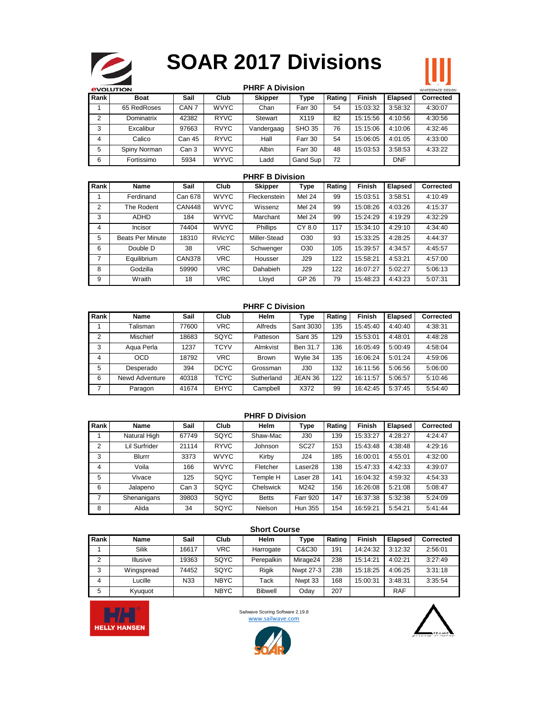

# **SOAR 2017 Divisions**

|                | <b>STEP</b><br><b><i>EVOLUTION</i></b> |                  |             | <b>PHRF A Division</b> |               |        |               |            | WHITESPACE DESIGN |
|----------------|----------------------------------------|------------------|-------------|------------------------|---------------|--------|---------------|------------|-------------------|
| Rank l         | <b>Boat</b>                            | Sail             | Club        | <b>Skipper</b>         | <b>Type</b>   | Rating | <b>Finish</b> | Elapsed    | Corrected         |
|                | 65 RedRoses                            | CAN <sub>7</sub> | <b>WVYC</b> | Chan                   | Farr 30       | 54     | 15:03:32      | 3:58:32    | 4:30:07           |
| $\overline{2}$ | Dominatrix                             | 42382            | <b>RYVC</b> | Stewart                | X119          | 82     | 15:15:56      | 4:10:56    | 4:30:56           |
| 3              | Excalibur                              | 97663            | <b>RVYC</b> | Vandergaag             | <b>SHO 35</b> | 76     | 15:15:06      | 4:10:06    | 4:32:46           |
| $\overline{4}$ | Calico                                 | Can 45           | <b>RYVC</b> | Hall                   | Farr 30       | 54     | 15:06:05      | 4:01:05    | 4:33:00           |
| 5              | Spiny Norman                           | Can 3            | <b>WVYC</b> | Albin                  | Farr 30       | 48     | 15:03:53      | 3:58:53    | 4:33:22           |
| 6              | Fortissimo                             | 5934             | <b>WYVC</b> | Ladd                   | Gand Sup      | 72     |               | <b>DNF</b> |                   |

### **PHRF B Division**

| Rank           | Name                    | Sail          | Club          | <b>Skipper</b> | Type            | Rating | <b>Finish</b> | Elapsed | <b>Corrected</b> |
|----------------|-------------------------|---------------|---------------|----------------|-----------------|--------|---------------|---------|------------------|
|                | Ferdinand               | Can 678       | <b>WVYC</b>   | Fleckenstein   | <b>Mel 24</b>   | 99     | 15:03:51      | 3:58:51 | 4:10:49          |
| $\overline{2}$ | The Rodent              | <b>CAN448</b> | <b>WVYC</b>   | Wissenz        | <b>Mel 24</b>   | 99     | 15:08:26      | 4:03:26 | 4:15:37          |
| 3              | <b>ADHD</b>             | 184           | <b>WYVC</b>   | Marchant       | <b>Mel 24</b>   | 99     | 15:24:29      | 4:19:29 | 4:32:29          |
| 4              | Incisor                 | 74404         | <b>WVYC</b>   | Phillips       | CY 8.0          | 117    | 15:34:10      | 4:29:10 | 4:34:40          |
| 5              | <b>Beats Per Minute</b> | 18310         | <b>RVicYC</b> | Miller-Stead   | O <sub>30</sub> | 93     | 15:33:25      | 4:28:25 | 4:44:37          |
| 6              | Double D                | 38            | <b>VRC</b>    | Schwenger      | O <sub>30</sub> | 105    | 15:39:57      | 4:34:57 | 4:45:57          |
|                | Equilibrium             | <b>CAN378</b> | <b>VRC</b>    | Housser        | J29             | 122    | 15:58:21      | 4:53:21 | 4:57:00          |
| 8              | Godzilla                | 59990         | <b>VRC</b>    | Dahabieh       | J29             | 122    | 16:07:27      | 5:02:27 | 5:06:13          |
| 9              | Wraith                  | 18            | <b>VRC</b>    | Lloyd          | GP 26           | 79     | 15:48:23      | 4:43:23 | 5:07:31          |

### **PHRF C Division**

| Rank           | Name           | Sail  | Club        | <b>Helm</b>  | Type      | Rating | <b>Finish</b> | <b>Elapsed</b> | <b>Corrected</b> |
|----------------|----------------|-------|-------------|--------------|-----------|--------|---------------|----------------|------------------|
|                | Talisman       | 77600 | <b>VRC</b>  | Alfreds      | Sant 3030 | 135    | 15:45:40      | 4:40:40        | 4:38:31          |
| $\overline{2}$ | Mischief       | 18683 | SQYC        | Patteson     | Sant 35   | 129    | 15:53:01      | 4:48:01        | 4:48:28          |
| 3              | Aqua Perla     | 1237  | TCYV        | Almkvist     | Ben 31.7  | 136    | 16:05:49      | 5:00:49        | 4:58:04          |
| 4              | <b>OCD</b>     | 18792 | <b>VRC</b>  | <b>Brown</b> | Wylie 34  | 135    | 16:06:24      | 5:01:24        | 4:59:06          |
| 5              | Desperado      | 394   | <b>DCYC</b> | Grossman     | J30       | 132    | 16:11:56      | 5:06:56        | 5:06:00          |
| 6              | Newd Adventure | 40318 | TCYC        | Sutherland   | JEAN 36   | 122    | 16:11:57      | 5:06:57        | 5:10:46          |
| 7              | Paragon        | 41674 | <b>EHYC</b> | Campbell     | X372      | 99     | 16:42:45      | 5:37:45        | 5:54:40          |

### **PHRF D Division**

| Rank           | Name          | Sail  | Club        | <b>Helm</b>  | Type            | Rating | <b>Finish</b> | <b>Elapsed</b> | Corrected |
|----------------|---------------|-------|-------------|--------------|-----------------|--------|---------------|----------------|-----------|
|                | Natural High  | 67749 | SQYC        | Shaw-Mac     | J30             | 139    | 15:33:27      | 4:28:27        | 4:24:47   |
| $\overline{2}$ | Lil Surfrider | 21114 | <b>RYVC</b> | Johnson      | <b>SC27</b>     | 153    | 15:43:48      | 4:38:48        | 4:29:16   |
| 3              | <b>Blurrr</b> | 3373  | <b>WVYC</b> | Kirby        | J24             | 185    | 16:00:01      | 4:55:01        | 4:32:00   |
| $\overline{4}$ | Voila         | 166   | <b>WVYC</b> | Fletcher     | Laser28         | 138    | 15:47:33      | 4:42:33        | 4:39:07   |
| 5              | Vivace        | 125   | SQYC        | Temple H     | Laser 28        | 141    | 16:04:32      | 4:59:32        | 4:54:33   |
| 6              | Jalapeno      | Can 3 | SQYC        | Chelswick    | M242            | 156    | 16:26:08      | 5:21:08        | 5:08:47   |
| 7              | Shenanigans   | 39803 | SQYC        | <b>Betts</b> | <b>Farr 920</b> | 147    | 16:37:38      | 5:32:38        | 5:24:09   |
| 8              | Alida         | 34    | SQYC        | Nielson      | Hun 355         | 154    | 16:59:21      | 5:54:21        | 5:41:44   |

|                | <b>Short Course</b> |       |             |                |           |        |               |            |           |  |  |  |
|----------------|---------------------|-------|-------------|----------------|-----------|--------|---------------|------------|-----------|--|--|--|
| Rank           | Name                | Sail  | Club        | Helm           | Type      | Rating | <b>Finish</b> | Elapsed    | Corrected |  |  |  |
|                | <b>Silik</b>        | 16617 | <b>VRC</b>  | Harrogate      | C&C30     | 191    | 14:24:32      | 3:12:32    | 2:56:01   |  |  |  |
| $\overline{2}$ | Illusive            | 19363 | SQYC        | Perepalkin     | Mirage24  | 238    | 15:14:21      | 4:02:21    | 3:27:49   |  |  |  |
| 3              | Wingspread          | 74452 | SQYC        | <b>Rigik</b>   | Nwpt 27-3 | 238    | 15:18:25      | 4:06:25    | 3:31:18   |  |  |  |
| 4              | _ucille             | N33   | <b>NBYC</b> | Tack           | Nwpt 33   | 168    | 15:00:31      | 3:48:31    | 3:35:54   |  |  |  |
| 5              | Kyuguot             |       | <b>NBYC</b> | <b>Bibwell</b> | Oday      | 207    |               | <b>RAF</b> |           |  |  |  |



Sailwave Scoring Software 2.19.8 www.sailwave.com



Ш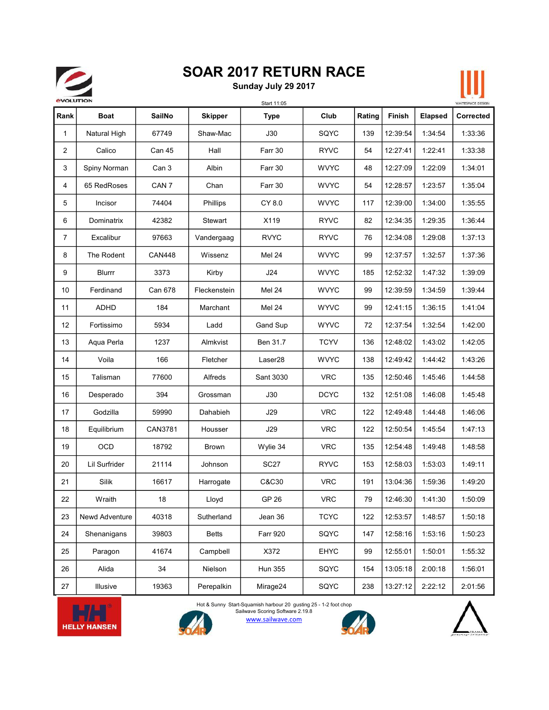# 

# SOAR 2017 RETURN RACE

Sunday July 29 2017



|      |                      |                  |                | Start 11:05     |             |        |               |                | WHITESPACE DESIGN |
|------|----------------------|------------------|----------------|-----------------|-------------|--------|---------------|----------------|-------------------|
| Rank | <b>Boat</b>          | <b>SailNo</b>    | <b>Skipper</b> | <b>Type</b>     | Club        | Rating | <b>Finish</b> | <b>Elapsed</b> | Corrected         |
| 1    | Natural High         | 67749            | Shaw-Mac       | J30             | SQYC        | 139    | 12:39:54      | 1:34:54        | 1:33:36           |
| 2    | Calico               | Can 45           | Hall           | Farr 30         | <b>RYVC</b> | 54     | 12:27:41      | 1:22:41        | 1:33:38           |
| 3    | Spiny Norman         | Can 3            | Albin          | Farr 30         | <b>WVYC</b> | 48     | 12:27:09      | 1:22:09        | 1:34:01           |
| 4    | 65 RedRoses          | CAN <sub>7</sub> | Chan           | Farr 30         | <b>WVYC</b> | 54     | 12:28:57      | 1:23:57        | 1:35:04           |
| 5    | Incisor              | 74404            | Phillips       | CY 8.0          | <b>WVYC</b> | 117    | 12:39:00      | 1:34:00        | 1:35:55           |
| 6    | Dominatrix           | 42382            | Stewart        | X119            | <b>RYVC</b> | 82     | 12:34:35      | 1:29:35        | 1:36:44           |
| 7    | Excalibur            | 97663            | Vandergaag     | <b>RVYC</b>     | <b>RYVC</b> | 76     | 12:34:08      | 1:29:08        | 1:37:13           |
| 8    | The Rodent           | <b>CAN448</b>    | Wissenz        | <b>Mel 24</b>   | <b>WVYC</b> | 99     | 12:37:57      | 1:32:57        | 1:37:36           |
| 9    | Blurrr               | 3373             | Kirby          | J24             | <b>WVYC</b> | 185    | 12:52:32      | 1:47:32        | 1:39:09           |
| 10   | Ferdinand            | Can 678          | Fleckenstein   | <b>Mel 24</b>   | <b>WVYC</b> | 99     | 12:39:59      | 1:34:59        | 1:39:44           |
| 11   | ADHD                 | 184              | Marchant       | Mel 24          | <b>WYVC</b> | 99     | 12:41:15      | 1:36:15        | 1:41:04           |
| 12   | Fortissimo           | 5934             | Ladd           | Gand Sup        | <b>WYVC</b> | 72     | 12:37:54      | 1:32:54        | 1:42:00           |
| 13   | Aqua Perla           | 1237             | Almkvist       | Ben 31.7        | <b>TCYV</b> | 136    | 12:48:02      | 1:43:02        | 1:42:05           |
| 14   | Voila                | 166              | Fletcher       | Laser28         | <b>WVYC</b> | 138    | 12:49:42      | 1:44:42        | 1:43:26           |
| 15   | Talisman             | 77600            | Alfreds        | Sant 3030       | <b>VRC</b>  | 135    | 12:50:46      | 1:45:46        | 1:44:58           |
| 16   | Desperado            | 394              | Grossman       | J30             | <b>DCYC</b> | 132    | 12:51:08      | 1:46:08        | 1:45:48           |
| 17   | Godzilla             | 59990            | Dahabieh       | <b>J29</b>      | <b>VRC</b>  | 122    | 12:49:48      | 1:44:48        | 1:46:06           |
| 18   | Equilibrium          | CAN3781          | Housser        | J29             | <b>VRC</b>  | 122    | 12:50:54      | 1:45:54        | 1:47:13           |
| 19   | <b>OCD</b>           | 18792            | Brown          | Wylie 34        | <b>VRC</b>  | 135    | 12:54:48      | 1:49:48        | 1:48:58           |
| 20   | <b>Lil Surfrider</b> | 21114            | Johnson        | <b>SC27</b>     | <b>RYVC</b> | 153    | 12:58:03      | 1:53:03        | 1:49:11           |
| 21   | Silik                | 16617            | Harrogate      | C&C30           | <b>VRC</b>  | 191    | 13:04:36      | 1:59:36        | 1:49:20           |
| 22   | Wraith               | 18               | Lloyd          | GP 26           | <b>VRC</b>  | 79     | 12:46:30      | 1:41:30        | 1:50:09           |
| 23   | Newd Adventure       | 40318            | Sutherland     | Jean 36         | <b>TCYC</b> | 122    | 12:53:57      | 1:48:57        | 1:50:18           |
| 24   | Shenanigans          | 39803            | <b>Betts</b>   | <b>Farr 920</b> | SQYC        | 147    | 12:58:16      | 1:53:16        | 1:50:23           |
| 25   | Paragon              | 41674            | Campbell       | X372            | EHYC        | 99     | 12:55:01      | 1:50:01        | 1:55:32           |
| 26   | Alida                | 34               | Nielson        | <b>Hun 355</b>  | SQYC        | 154    | 13:05:18      | 2:00:18        | 1:56:01           |
| 27   | Illusive             | 19363            | Perepalkin     | Mirage24        | SQYC        | 238    | 13:27:12      | 2:22:12        | 2:01:56           |





Sailwave Scoring Software 2.19.8<br>WWW.Sailwave.com Hot & Sunny Start-Squamish harbour 20 gusting 25 - 1-2 foot chop



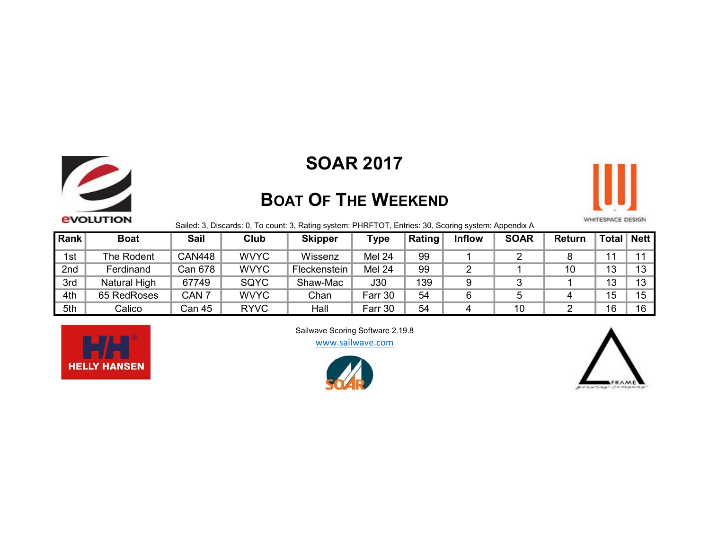

## SOAR 2017

# BOAT OF THE WEEKEND



Sailed: 3, Discards: 0, To count: 3, Rating system: PHRFTOT, Entries: 30, Scoring system: Appendix A

| Rank | <b>Boat</b>  | <b>Sail</b>      | Club        | <b>Skipper</b> | <b>Type</b>   | <b>Rating</b> | <b>Inflow</b> | <b>SOAR</b> | Return | Total | <b>Nett</b> |
|------|--------------|------------------|-------------|----------------|---------------|---------------|---------------|-------------|--------|-------|-------------|
| 1st  | The Rodent   | <b>CAN448</b>    | <b>WVYC</b> | Wissenz        | <b>Mel 24</b> | 99            |               |             |        |       |             |
| 2nd  | Ferdinand    | Can 678          | <b>WVYC</b> | Fleckenstein   | <b>Mel 24</b> | 99            |               |             | 10     | 13    |             |
| 3rd  | Natural High | 67749            | SQYC        | Shaw-Mac       | J30           | 139           |               |             |        | 13    |             |
| 4th  | 65 RedRoses  | CAN <sub>7</sub> | <b>WVYC</b> | Chan           | Farr 30       | 54            |               |             |        | 15    | 15          |
| 5th  | Calico       | Can 45           | <b>RYVC</b> | Hall           | Farr 30       | 54            |               | 10          |        | 16    | 16          |



Sailwave Scoring Software 2.19.8

www.sailwave.com